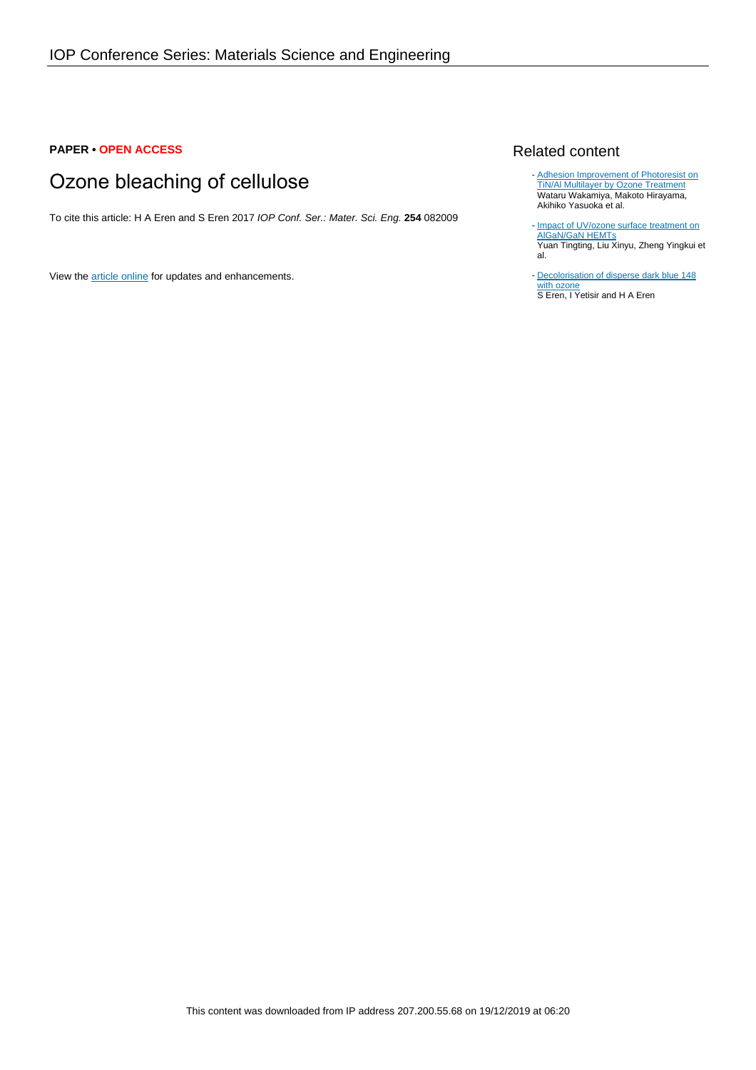## **PAPER • OPEN ACCESS**

# Ozone bleaching of cellulose

To cite this article: H A Eren and S Eren 2017 IOP Conf. Ser.: Mater. Sci. Eng. **254** 082009

View the [article online](https://doi.org/10.1088/1757-899X/254/8/082009) for updates and enhancements.

#### Related content

- [Adhesion Improvement of Photoresist on](http://iopscience.iop.org/article/10.1143/JJAP.35.L1227) [TiN/Al Multilayer by Ozone Treatment](http://iopscience.iop.org/article/10.1143/JJAP.35.L1227) Wataru Wakamiya, Makoto Hirayama, Akihiko Yasuoka et al.
- [Impact of UV/ozone surface treatment on](http://iopscience.iop.org/article/10.1088/1674-4926/30/12/124001) [AlGaN/GaN HEMTs](http://iopscience.iop.org/article/10.1088/1674-4926/30/12/124001) Yuan Tingting, Liu Xinyu, Zheng Yingkui et al.
- [Decolorisation of disperse dark blue 148](http://iopscience.iop.org/article/10.1088/1757-899X/254/8/082010) [with ozone](http://iopscience.iop.org/article/10.1088/1757-899X/254/8/082010) S Eren, I Yetisir and H A Eren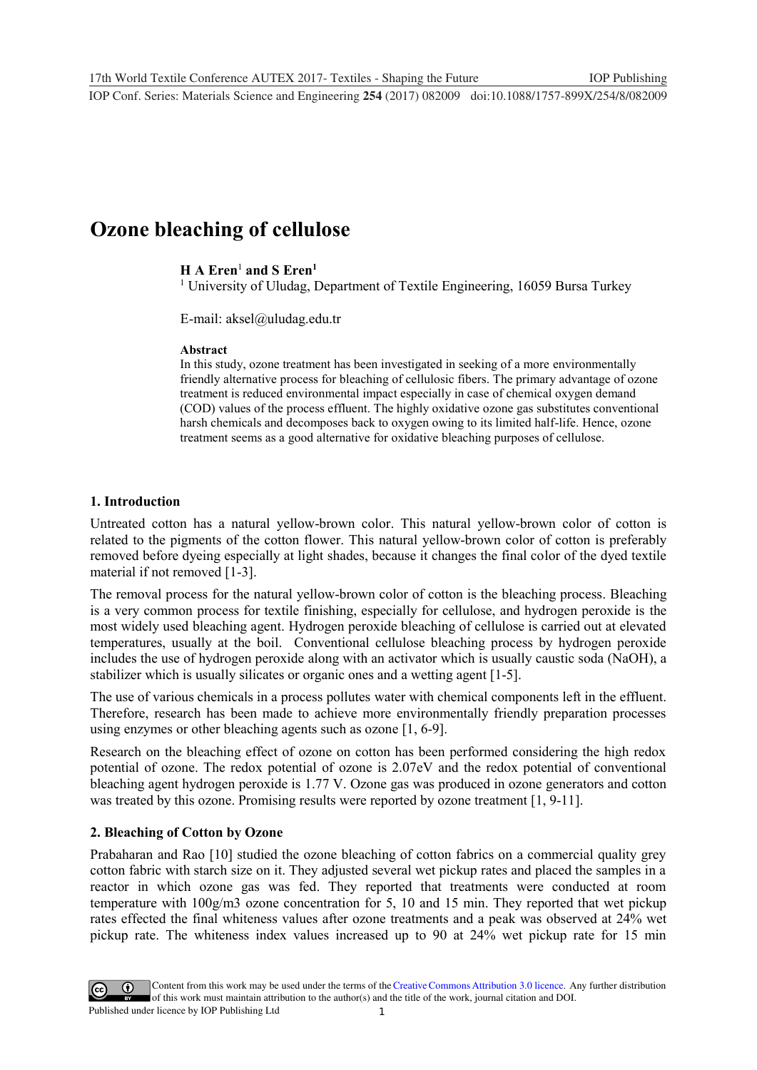**1234567890** IOP Conf. Series: Materials Science and Engineering **254** (2017) 082009 doi:10.1088/1757-899X/254/8/082009

# **Ozone bleaching of cellulose**

# **H A Eren**<sup>1</sup> **and S Eren1**

<sup>1</sup> University of Uludag, Department of Textile Engineering, 16059 Bursa Turkey

E-mail: aksel@uludag.edu.tr

#### **Abstract**

In this study, ozone treatment has been investigated in seeking of a more environmentally friendly alternative process for bleaching of cellulosic fibers. The primary advantage of ozone treatment is reduced environmental impact especially in case of chemical oxygen demand (COD) values of the process effluent. The highly oxidative ozone gas substitutes conventional harsh chemicals and decomposes back to oxygen owing to its limited half-life. Hence, ozone treatment seems as a good alternative for oxidative bleaching purposes of cellulose.

## **1. Introduction**

Untreated cotton has a natural yellow-brown color. This natural yellow-brown color of cotton is related to the pigments of the cotton flower. This natural yellow-brown color of cotton is preferably removed before dyeing especially at light shades, because it changes the final color of the dyed textile material if not removed [1-3].

The removal process for the natural yellow-brown color of cotton is the bleaching process. Bleaching is a very common process for textile finishing, especially for cellulose, and hydrogen peroxide is the most widely used bleaching agent. Hydrogen peroxide bleaching of cellulose is carried out at elevated temperatures, usually at the boil. Conventional cellulose bleaching process by hydrogen peroxide includes the use of hydrogen peroxide along with an activator which is usually caustic soda (NaOH), a stabilizer which is usually silicates or organic ones and a wetting agent [1-5].

The use of various chemicals in a process pollutes water with chemical components left in the effluent. Therefore, research has been made to achieve more environmentally friendly preparation processes using enzymes or other bleaching agents such as ozone [1, 6-9].

Research on the bleaching effect of ozone on cotton has been performed considering the high redox potential of ozone. The redox potential of ozone is 2.07eV and the redox potential of conventional bleaching agent hydrogen peroxide is 1.77 V. Ozone gas was produced in ozone generators and cotton was treated by this ozone. Promising results were reported by ozone treatment [1, 9-11].

# **2. Bleaching of Cotton by Ozone**

Prabaharan and Rao [10] studied the ozone bleaching of cotton fabrics on a commercial quality grey cotton fabric with starch size on it. They adjusted several wet pickup rates and placed the samples in a reactor in which ozone gas was fed. They reported that treatments were conducted at room temperature with 100g/m3 ozone concentration for 5, 10 and 15 min. They reported that wet pickup rates effected the final whiteness values after ozone treatments and a peak was observed at 24% wet pickup rate. The whiteness index values increased up to 90 at 24% wet pickup rate for 15 min

1 Content from this work may be used under the terms of the[Creative Commons Attribution 3.0 licence.](http://creativecommons.org/licenses/by/3.0) Any further distribution of this work must maintain attribution to the author(s) and the title of the work, journal citation and DOI. Published under licence by IOP Publishing Ltd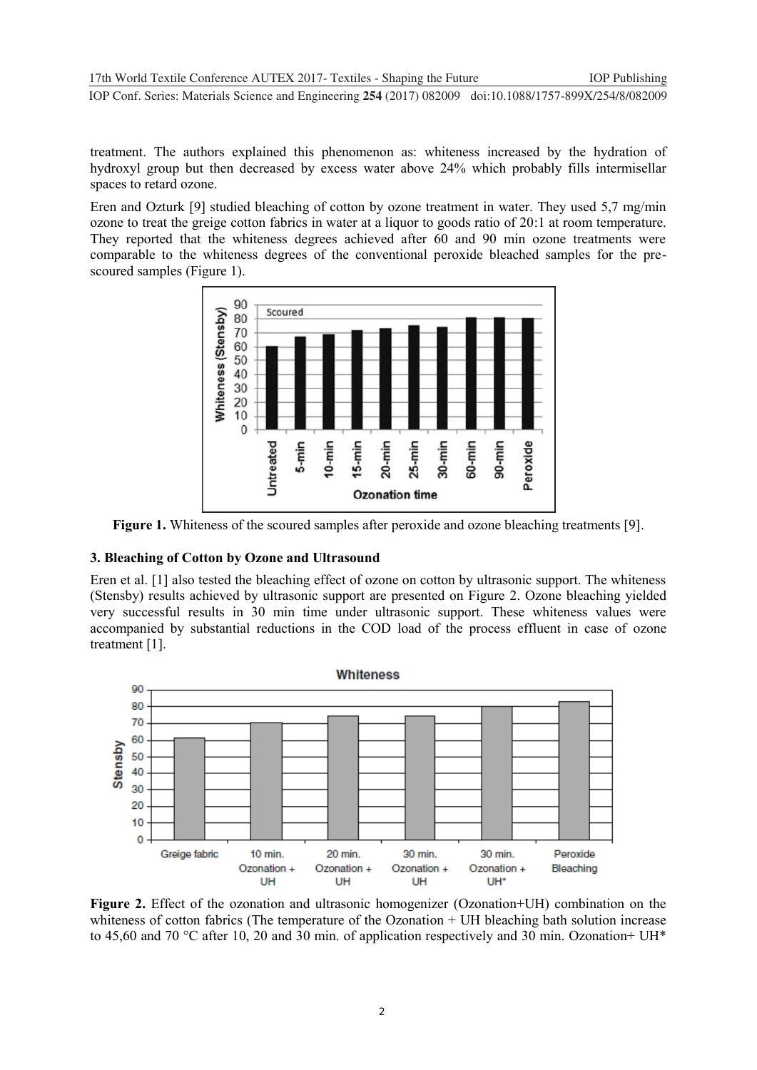**1234567890** IOP Conf. Series: Materials Science and Engineering **254** (2017) 082009 doi:10.1088/1757-899X/254/8/082009

treatment. The authors explained this phenomenon as: whiteness increased by the hydration of hydroxyl group but then decreased by excess water above 24% which probably fills intermisellar spaces to retard ozone.

Eren and Ozturk [9] studied bleaching of cotton by ozone treatment in water. They used 5,7 mg/min ozone to treat the greige cotton fabrics in water at a liquor to goods ratio of 20:1 at room temperature. They reported that the whiteness degrees achieved after 60 and 90 min ozone treatments were comparable to the whiteness degrees of the conventional peroxide bleached samples for the pre scoured samples (Figure 1).



**Figure 1.** Whiteness of the scoured samples after peroxide and ozone bleaching treatments [9].

## **3. Bleaching of Cotton by Ozone and Ultrasound**

Eren et al. [1] also tested the bleaching effect of ozone on cotton by ultrasonic support. The whiteness (Stensby) results achieved by ultrasonic support are presented on Figure 2. Ozone bleaching yielded very successful results in 30 min time under ultrasonic support. These whiteness values were [accompanied by substantial reductions in the COD load of the process effluent in case of](https://www.austinozone.com) ozone treatment [1].



**Figure 2.** Effect of the ozonation and ultrasonic homogenizer (Ozonation+UH) combination on the whiteness of cotton fabrics (The temperature of the Ozonation + UH bleaching bath solution increase to 45,60 and 70 °C after 10, 20 and 30 min. of application respectively and 30 min. Ozonation+ UH\*